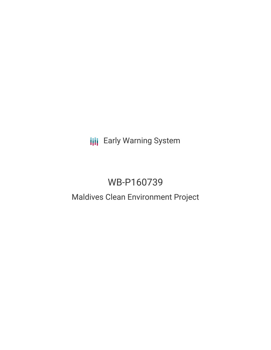**III** Early Warning System

# WB-P160739

## Maldives Clean Environment Project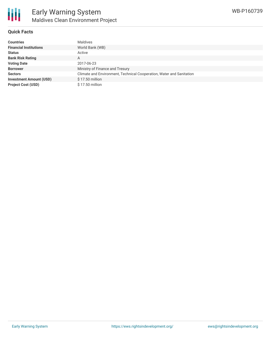

#### **Quick Facts**

| <b>Countries</b>               | <b>Maldives</b>                                                      |
|--------------------------------|----------------------------------------------------------------------|
| <b>Financial Institutions</b>  | World Bank (WB)                                                      |
| <b>Status</b>                  | Active                                                               |
| <b>Bank Risk Rating</b>        | A                                                                    |
| <b>Voting Date</b>             | 2017-06-23                                                           |
| <b>Borrower</b>                | Ministry of Finance and Tresury                                      |
| <b>Sectors</b>                 | Climate and Environment, Technical Cooperation, Water and Sanitation |
| <b>Investment Amount (USD)</b> | $$17.50$ million                                                     |
| <b>Project Cost (USD)</b>      | \$17.50 million                                                      |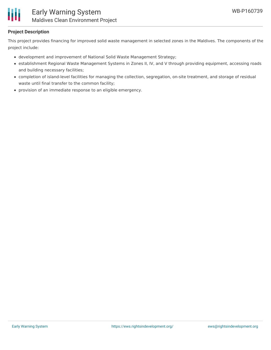

#### **Project Description**

This project provides financing for improved solid waste management in selected zones in the Maldives. The components of the project include:

- development and improvement of National Solid Waste Management Strategy;
- establishment Regional Waste Management Systems in Zones II, IV, and V through providing equipment, accessing roads and building necessary facilities;
- completion of island-level facilities for managing the collection, segregation, on-site treatment, and storage of residual waste until final transfer to the common facility;
- provision of an immediate response to an eligible emergency.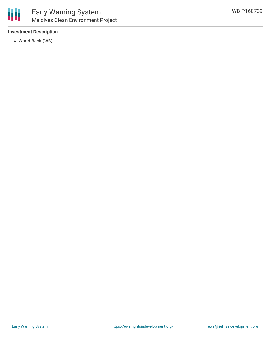#### **Investment Description**

World Bank (WB)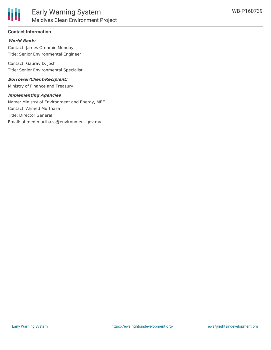

#### **Contact Information**

#### **World Bank:**

Contact: James Orehmie Monday Title: Senior Environmental Engineer

Contact: Gaurav D. Joshi Title: Senior Environmental Specialist

**Borrower/Client/Recipient:** Ministry of Finance and Treasury

#### **Implementing Agencies**

Name: Ministry of Environment and Energy, MEE Contact: Ahmed Murthaza Title: Director General Email: ahmed.murthaza@environment.gov.mv